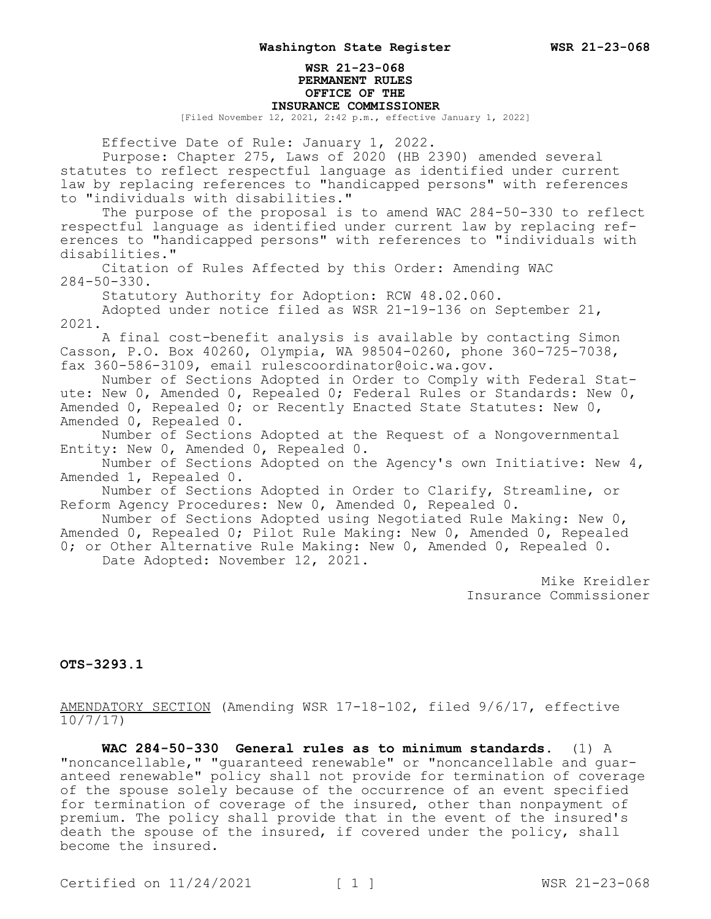## **WSR 21-23-068 PERMANENT RULES OFFICE OF THE INSURANCE COMMISSIONER**

[Filed November 12, 2021, 2:42 p.m., effective January 1, 2022]

Effective Date of Rule: January 1, 2022.

Purpose: Chapter 275, Laws of 2020 (HB 2390) amended several statutes to reflect respectful language as identified under current law by replacing references to "handicapped persons" with references to "individuals with disabilities."

The purpose of the proposal is to amend WAC 284-50-330 to reflect respectful language as identified under current law by replacing references to "handicapped persons" with references to "individuals with disabilities."

Citation of Rules Affected by this Order: Amending WAC 284-50-330.

Statutory Authority for Adoption: RCW 48.02.060.

Adopted under notice filed as WSR 21-19-136 on September 21, 2021.

A final cost-benefit analysis is available by contacting Simon Casson, P.O. Box 40260, Olympia, WA 98504-0260, phone 360-725-7038, fax 360-586-3109, email rulescoordinator@oic.wa.gov.

Number of Sections Adopted in Order to Comply with Federal Statute: New 0, Amended 0, Repealed 0; Federal Rules or Standards: New 0, Amended 0, Repealed 0; or Recently Enacted State Statutes: New 0, Amended 0, Repealed 0.

Number of Sections Adopted at the Request of a Nongovernmental Entity: New 0, Amended 0, Repealed 0.

Number of Sections Adopted on the Agency's own Initiative: New 4, Amended 1, Repealed 0.

Number of Sections Adopted in Order to Clarify, Streamline, or Reform Agency Procedures: New 0, Amended 0, Repealed 0.

Number of Sections Adopted using Negotiated Rule Making: New 0, Amended 0, Repealed 0; Pilot Rule Making: New 0, Amended 0, Repealed 0; or Other Alternative Rule Making: New 0, Amended 0, Repealed 0. Date Adopted: November 12, 2021.

> Mike Kreidler Insurance Commissioner

**OTS-3293.1**

AMENDATORY SECTION (Amending WSR 17-18-102, filed 9/6/17, effective 10/7/17)

**WAC 284-50-330 General rules as to minimum standards.** (1) A "noncancellable," "guaranteed renewable" or "noncancellable and guaranteed renewable" policy shall not provide for termination of coverage of the spouse solely because of the occurrence of an event specified for termination of coverage of the insured, other than nonpayment of premium. The policy shall provide that in the event of the insured's death the spouse of the insured, if covered under the policy, shall become the insured.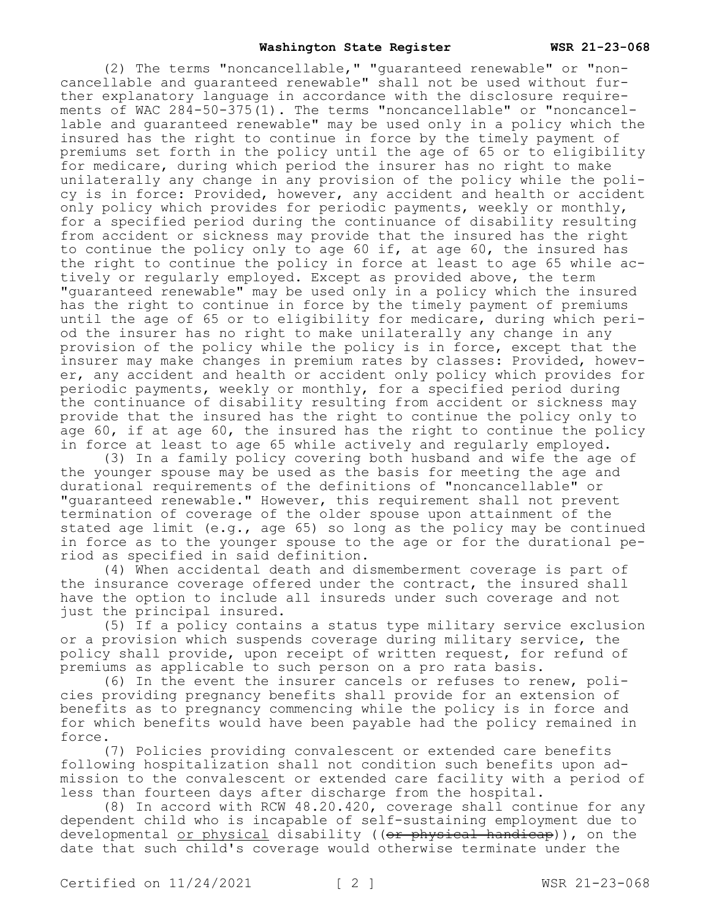(2) The terms "noncancellable," "guaranteed renewable" or "noncancellable and guaranteed renewable" shall not be used without further explanatory language in accordance with the disclosure requirements of WAC  $284-50-375(1)$ . The terms "noncancellable" or "noncancellable and guaranteed renewable" may be used only in a policy which the insured has the right to continue in force by the timely payment of premiums set forth in the policy until the age of 65 or to eligibility for medicare, during which period the insurer has no right to make unilaterally any change in any provision of the policy while the policy is in force: Provided, however, any accident and health or accident only policy which provides for periodic payments, weekly or monthly, for a specified period during the continuance of disability resulting from accident or sickness may provide that the insured has the right to continue the policy only to age 60 if, at age 60, the insured has the right to continue the policy in force at least to age 65 while actively or regularly employed. Except as provided above, the term "guaranteed renewable" may be used only in a policy which the insured has the right to continue in force by the timely payment of premiums until the age of 65 or to eligibility for medicare, during which period the insurer has no right to make unilaterally any change in any provision of the policy while the policy is in force, except that the insurer may make changes in premium rates by classes: Provided, however, any accident and health or accident only policy which provides for periodic payments, weekly or monthly, for a specified period during the continuance of disability resulting from accident or sickness may provide that the insured has the right to continue the policy only to age 60, if at age 60, the insured has the right to continue the policy in force at least to age 65 while actively and regularly employed.

(3) In a family policy covering both husband and wife the age of the younger spouse may be used as the basis for meeting the age and durational requirements of the definitions of "noncancellable" or "guaranteed renewable." However, this requirement shall not prevent termination of coverage of the older spouse upon attainment of the stated age limit (e.g., age 65) so long as the policy may be continued in force as to the younger spouse to the age or for the durational period as specified in said definition.

(4) When accidental death and dismemberment coverage is part of the insurance coverage offered under the contract, the insured shall have the option to include all insureds under such coverage and not just the principal insured.

(5) If a policy contains a status type military service exclusion or a provision which suspends coverage during military service, the policy shall provide, upon receipt of written request, for refund of premiums as applicable to such person on a pro rata basis.

(6) In the event the insurer cancels or refuses to renew, policies providing pregnancy benefits shall provide for an extension of benefits as to pregnancy commencing while the policy is in force and for which benefits would have been payable had the policy remained in force.

(7) Policies providing convalescent or extended care benefits following hospitalization shall not condition such benefits upon admission to the convalescent or extended care facility with a period of less than fourteen days after discharge from the hospital.

(8) In accord with RCW 48.20.420, coverage shall continue for any dependent child who is incapable of self-sustaining employment due to developmental or physical disability ((or physical handicap)), on the date that such child's coverage would otherwise terminate under the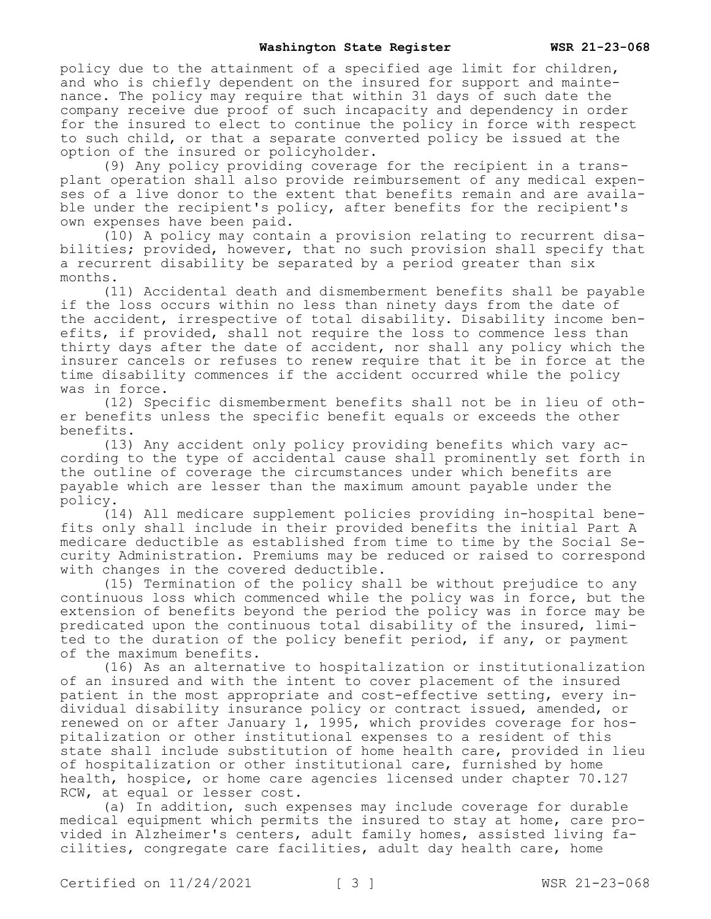policy due to the attainment of a specified age limit for children, and who is chiefly dependent on the insured for support and maintenance. The policy may require that within 31 days of such date the company receive due proof of such incapacity and dependency in order for the insured to elect to continue the policy in force with respect to such child, or that a separate converted policy be issued at the option of the insured or policyholder.

(9) Any policy providing coverage for the recipient in a transplant operation shall also provide reimbursement of any medical expenses of a live donor to the extent that benefits remain and are available under the recipient's policy, after benefits for the recipient's own expenses have been paid.

(10) A policy may contain a provision relating to recurrent disabilities; provided, however, that no such provision shall specify that a recurrent disability be separated by a period greater than six months.

(11) Accidental death and dismemberment benefits shall be payable if the loss occurs within no less than ninety days from the date of the accident, irrespective of total disability. Disability income benefits, if provided, shall not require the loss to commence less than thirty days after the date of accident, nor shall any policy which the insurer cancels or refuses to renew require that it be in force at the time disability commences if the accident occurred while the policy was in force.

(12) Specific dismemberment benefits shall not be in lieu of other benefits unless the specific benefit equals or exceeds the other benefits.

(13) Any accident only policy providing benefits which vary according to the type of accidental cause shall prominently set forth in the outline of coverage the circumstances under which benefits are payable which are lesser than the maximum amount payable under the policy.

(14) All medicare supplement policies providing in-hospital benefits only shall include in their provided benefits the initial Part A medicare deductible as established from time to time by the Social Security Administration. Premiums may be reduced or raised to correspond with changes in the covered deductible.

(15) Termination of the policy shall be without prejudice to any continuous loss which commenced while the policy was in force, but the extension of benefits beyond the period the policy was in force may be predicated upon the continuous total disability of the insured, limited to the duration of the policy benefit period, if any, or payment of the maximum benefits.

(16) As an alternative to hospitalization or institutionalization of an insured and with the intent to cover placement of the insured patient in the most appropriate and cost-effective setting, every individual disability insurance policy or contract issued, amended, or renewed on or after January 1, 1995, which provides coverage for hospitalization or other institutional expenses to a resident of this state shall include substitution of home health care, provided in lieu of hospitalization or other institutional care, furnished by home health, hospice, or home care agencies licensed under chapter 70.127 RCW, at equal or lesser cost.

(a) In addition, such expenses may include coverage for durable medical equipment which permits the insured to stay at home, care provided in Alzheimer's centers, adult family homes, assisted living facilities, congregate care facilities, adult day health care, home